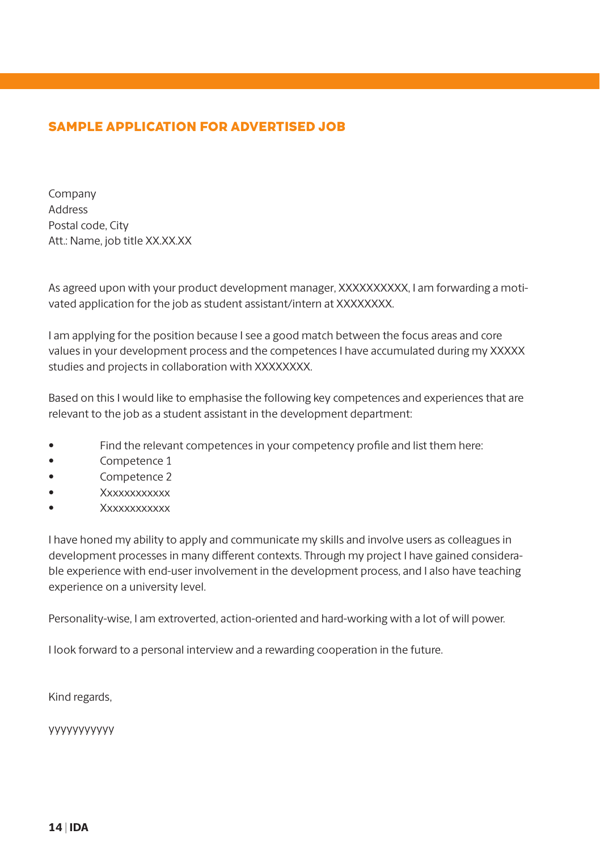## SAMPLE APPLICATION FOR ADVERTISED JOB

Company Address Postal code, City Att.: Name, job title XX.XX.XX

As agreed upon with your product development manager, XXXXXXXXXX, I am forwarding a motivated application for the job as student assistant/intern at XXXXXXXX.

I am applying for the position because I see a good match between the focus areas and core values in your development process and the competences I have accumulated during my XXXXX studies and projects in collaboration with XXXXXXXX.

Based on this I would like to emphasise the following key competences and experiences that are relevant to the job as a student assistant in the development department:

- Find the relevant competences in your competency profile and list them here:
- Competence 1
- Competence 2
- Xxxxxxxxxxxx
- Xxxxxxxxxxxx

I have honed my ability to apply and communicate my skills and involve users as colleagues in development processes in many different contexts. Through my project I have gained considerable experience with end-user involvement in the development process, and I also have teaching experience on a university level.

Personality-wise, I am extroverted, action-oriented and hard-working with a lot of will power.

I look forward to a personal interview and a rewarding cooperation in the future.

Kind regards,

yyyyyyyyyyy